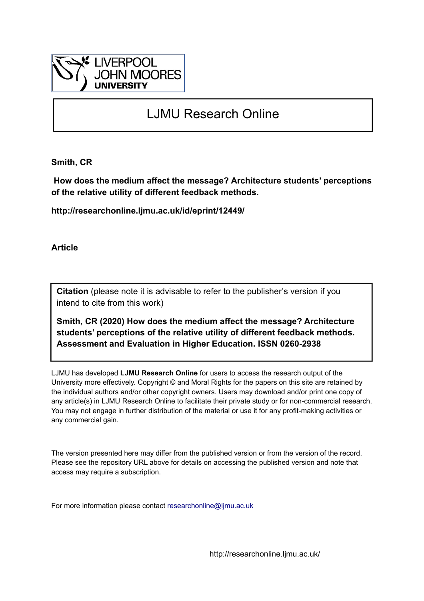

# LJMU Research Online

**Smith, CR**

 **How does the medium affect the message? Architecture students' perceptions of the relative utility of different feedback methods.**

**http://researchonline.ljmu.ac.uk/id/eprint/12449/**

**Article**

**Citation** (please note it is advisable to refer to the publisher's version if you intend to cite from this work)

**Smith, CR (2020) How does the medium affect the message? Architecture students' perceptions of the relative utility of different feedback methods. Assessment and Evaluation in Higher Education. ISSN 0260-2938** 

LJMU has developed **[LJMU Research Online](http://researchonline.ljmu.ac.uk/)** for users to access the research output of the University more effectively. Copyright © and Moral Rights for the papers on this site are retained by the individual authors and/or other copyright owners. Users may download and/or print one copy of any article(s) in LJMU Research Online to facilitate their private study or for non-commercial research. You may not engage in further distribution of the material or use it for any profit-making activities or any commercial gain.

The version presented here may differ from the published version or from the version of the record. Please see the repository URL above for details on accessing the published version and note that access may require a subscription.

For more information please contact [researchonline@ljmu.ac.uk](mailto:researchonline@ljmu.ac.uk)

http://researchonline.ljmu.ac.uk/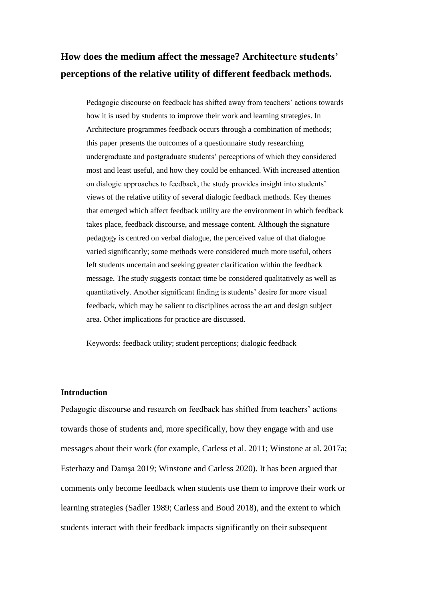## **How does the medium affect the message? Architecture students' perceptions of the relative utility of different feedback methods.**

Pedagogic discourse on feedback has shifted away from teachers' actions towards how it is used by students to improve their work and learning strategies. In Architecture programmes feedback occurs through a combination of methods; this paper presents the outcomes of a questionnaire study researching undergraduate and postgraduate students' perceptions of which they considered most and least useful, and how they could be enhanced. With increased attention on dialogic approaches to feedback, the study provides insight into students' views of the relative utility of several dialogic feedback methods. Key themes that emerged which affect feedback utility are the environment in which feedback takes place, feedback discourse, and message content. Although the signature pedagogy is centred on verbal dialogue, the perceived value of that dialogue varied significantly; some methods were considered much more useful, others left students uncertain and seeking greater clarification within the feedback message. The study suggests contact time be considered qualitatively as well as quantitatively. Another significant finding is students' desire for more visual feedback, which may be salient to disciplines across the art and design subject area. Other implications for practice are discussed.

Keywords: feedback utility; student perceptions; dialogic feedback

## **Introduction**

Pedagogic discourse and research on feedback has shifted from teachers' actions towards those of students and, more specifically, how they engage with and use messages about their work (for example, Carless et al. 2011; Winstone at al. 2017a; Esterhazy and Damşa 2019; Winstone and Carless 2020). It has been argued that comments only become feedback when students use them to improve their work or learning strategies (Sadler 1989; Carless and Boud 2018), and the extent to which students interact with their feedback impacts significantly on their subsequent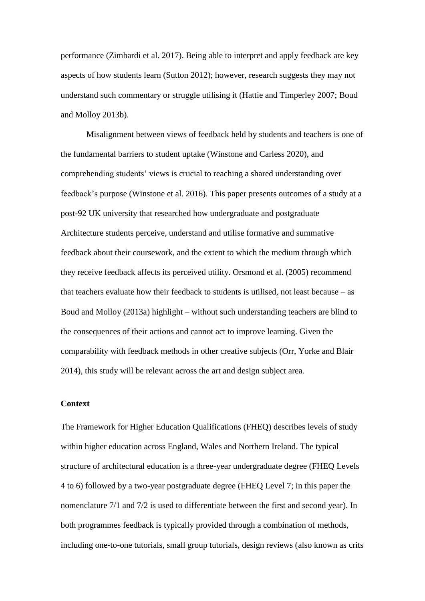performance (Zimbardi et al. 2017). Being able to interpret and apply feedback are key aspects of how students learn (Sutton 2012); however, research suggests they may not understand such commentary or struggle utilising it (Hattie and Timperley 2007; Boud and Molloy 2013b).

Misalignment between views of feedback held by students and teachers is one of the fundamental barriers to student uptake (Winstone and Carless 2020), and comprehending students' views is crucial to reaching a shared understanding over feedback's purpose (Winstone et al. 2016). This paper presents outcomes of a study at a post-92 UK university that researched how undergraduate and postgraduate Architecture students perceive, understand and utilise formative and summative feedback about their coursework, and the extent to which the medium through which they receive feedback affects its perceived utility. Orsmond et al. (2005) recommend that teachers evaluate how their feedback to students is utilised, not least because – as Boud and Molloy (2013a) highlight – without such understanding teachers are blind to the consequences of their actions and cannot act to improve learning. Given the comparability with feedback methods in other creative subjects (Orr, Yorke and Blair 2014), this study will be relevant across the art and design subject area.

## **Context**

The Framework for Higher Education Qualifications (FHEQ) describes levels of study within higher education across England, Wales and Northern Ireland. The typical structure of architectural education is a three-year undergraduate degree (FHEQ Levels 4 to 6) followed by a two-year postgraduate degree (FHEQ Level 7; in this paper the nomenclature 7/1 and 7/2 is used to differentiate between the first and second year). In both programmes feedback is typically provided through a combination of methods, including one-to-one tutorials, small group tutorials, design reviews (also known as crits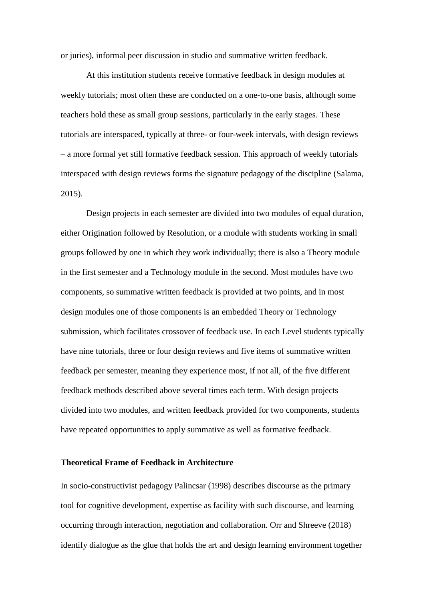or juries), informal peer discussion in studio and summative written feedback.

At this institution students receive formative feedback in design modules at weekly tutorials; most often these are conducted on a one-to-one basis, although some teachers hold these as small group sessions, particularly in the early stages. These tutorials are interspaced, typically at three- or four-week intervals, with design reviews – a more formal yet still formative feedback session. This approach of weekly tutorials interspaced with design reviews forms the signature pedagogy of the discipline (Salama, 2015).

Design projects in each semester are divided into two modules of equal duration, either Origination followed by Resolution, or a module with students working in small groups followed by one in which they work individually; there is also a Theory module in the first semester and a Technology module in the second. Most modules have two components, so summative written feedback is provided at two points, and in most design modules one of those components is an embedded Theory or Technology submission, which facilitates crossover of feedback use. In each Level students typically have nine tutorials, three or four design reviews and five items of summative written feedback per semester, meaning they experience most, if not all, of the five different feedback methods described above several times each term. With design projects divided into two modules, and written feedback provided for two components, students have repeated opportunities to apply summative as well as formative feedback.

## **Theoretical Frame of Feedback in Architecture**

In socio-constructivist pedagogy Palincsar (1998) describes discourse as the primary tool for cognitive development, expertise as facility with such discourse, and learning occurring through interaction, negotiation and collaboration. Orr and Shreeve (2018) identify dialogue as the glue that holds the art and design learning environment together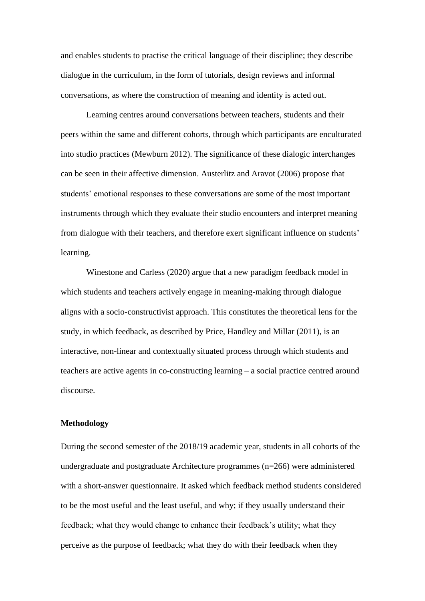and enables students to practise the critical language of their discipline; they describe dialogue in the curriculum, in the form of tutorials, design reviews and informal conversations, as where the construction of meaning and identity is acted out.

Learning centres around conversations between teachers, students and their peers within the same and different cohorts, through which participants are enculturated into studio practices (Mewburn 2012). The significance of these dialogic interchanges can be seen in their affective dimension. Austerlitz and Aravot (2006) propose that students' emotional responses to these conversations are some of the most important instruments through which they evaluate their studio encounters and interpret meaning from dialogue with their teachers, and therefore exert significant influence on students' learning.

Winestone and Carless (2020) argue that a new paradigm feedback model in which students and teachers actively engage in meaning-making through dialogue aligns with a socio-constructivist approach. This constitutes the theoretical lens for the study, in which feedback, as described by Price, Handley and Millar (2011), is an interactive, non-linear and contextually situated process through which students and teachers are active agents in co-constructing learning – a social practice centred around discourse.

#### **Methodology**

During the second semester of the 2018/19 academic year, students in all cohorts of the undergraduate and postgraduate Architecture programmes (n=266) were administered with a short-answer questionnaire. It asked which feedback method students considered to be the most useful and the least useful, and why; if they usually understand their feedback; what they would change to enhance their feedback's utility; what they perceive as the purpose of feedback; what they do with their feedback when they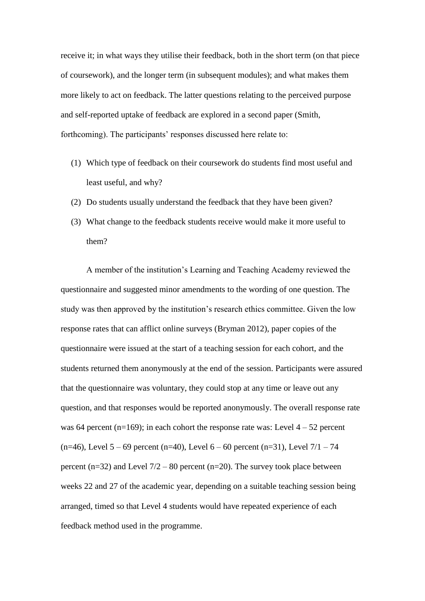receive it; in what ways they utilise their feedback, both in the short term (on that piece of coursework), and the longer term (in subsequent modules); and what makes them more likely to act on feedback. The latter questions relating to the perceived purpose and self-reported uptake of feedback are explored in a second paper (Smith, forthcoming). The participants' responses discussed here relate to:

- (1) Which type of feedback on their coursework do students find most useful and least useful, and why?
- (2) Do students usually understand the feedback that they have been given?
- (3) What change to the feedback students receive would make it more useful to them?

A member of the institution's Learning and Teaching Academy reviewed the questionnaire and suggested minor amendments to the wording of one question. The study was then approved by the institution's research ethics committee. Given the low response rates that can afflict online surveys (Bryman 2012), paper copies of the questionnaire were issued at the start of a teaching session for each cohort, and the students returned them anonymously at the end of the session. Participants were assured that the questionnaire was voluntary, they could stop at any time or leave out any question, and that responses would be reported anonymously. The overall response rate was 64 percent (n=169); in each cohort the response rate was: Level  $4 - 52$  percent  $(n=46)$ , Level 5 – 69 percent  $(n=40)$ , Level 6 – 60 percent  $(n=31)$ , Level 7/1 – 74 percent (n=32) and Level  $7/2 - 80$  percent (n=20). The survey took place between weeks 22 and 27 of the academic year, depending on a suitable teaching session being arranged, timed so that Level 4 students would have repeated experience of each feedback method used in the programme.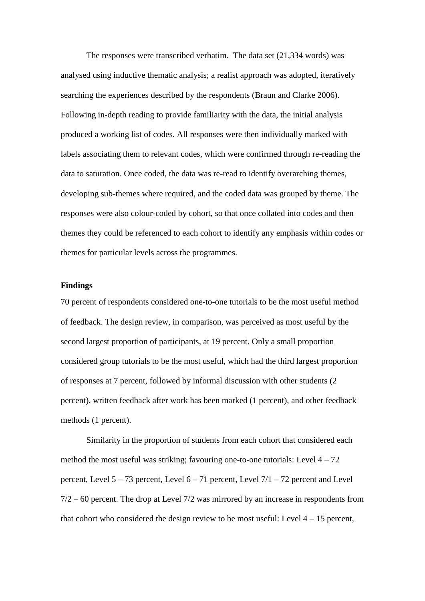The responses were transcribed verbatim. The data set (21,334 words) was analysed using inductive thematic analysis; a realist approach was adopted, iteratively searching the experiences described by the respondents (Braun and Clarke 2006). Following in-depth reading to provide familiarity with the data, the initial analysis produced a working list of codes. All responses were then individually marked with labels associating them to relevant codes, which were confirmed through re-reading the data to saturation. Once coded, the data was re-read to identify overarching themes, developing sub-themes where required, and the coded data was grouped by theme. The responses were also colour-coded by cohort, so that once collated into codes and then themes they could be referenced to each cohort to identify any emphasis within codes or themes for particular levels across the programmes.

## **Findings**

70 percent of respondents considered one-to-one tutorials to be the most useful method of feedback. The design review, in comparison, was perceived as most useful by the second largest proportion of participants, at 19 percent. Only a small proportion considered group tutorials to be the most useful, which had the third largest proportion of responses at 7 percent, followed by informal discussion with other students (2 percent), written feedback after work has been marked (1 percent), and other feedback methods (1 percent).

Similarity in the proportion of students from each cohort that considered each method the most useful was striking; favouring one-to-one tutorials: Level  $4 - 72$ percent, Level 5 – 73 percent, Level 6 – 71 percent, Level 7/1 – 72 percent and Level 7/2 – 60 percent. The drop at Level 7/2 was mirrored by an increase in respondents from that cohort who considered the design review to be most useful: Level  $4 - 15$  percent,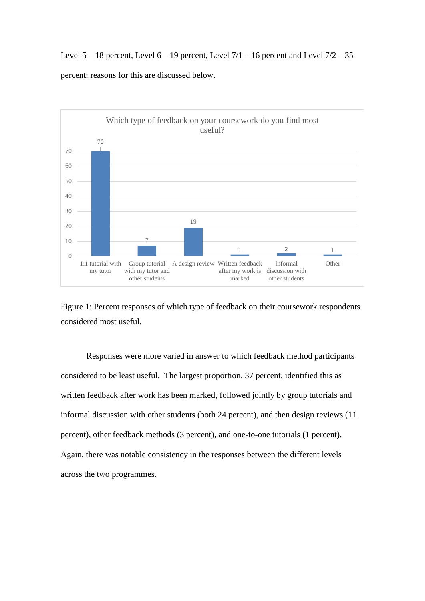Level  $5 - 18$  percent, Level  $6 - 19$  percent, Level  $7/1 - 16$  percent and Level  $7/2 - 35$ percent; reasons for this are discussed below.



Figure 1: Percent responses of which type of feedback on their coursework respondents considered most useful.

Responses were more varied in answer to which feedback method participants considered to be least useful. The largest proportion, 37 percent, identified this as written feedback after work has been marked, followed jointly by group tutorials and informal discussion with other students (both 24 percent), and then design reviews (11 percent), other feedback methods (3 percent), and one-to-one tutorials (1 percent). Again, there was notable consistency in the responses between the different levels across the two programmes.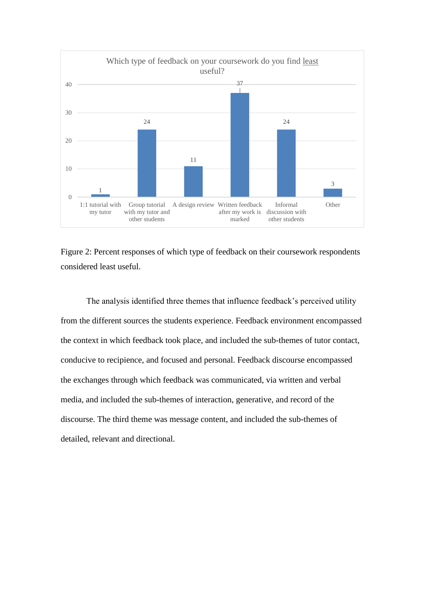

Figure 2: Percent responses of which type of feedback on their coursework respondents considered least useful.

The analysis identified three themes that influence feedback's perceived utility from the different sources the students experience. Feedback environment encompassed the context in which feedback took place, and included the sub-themes of tutor contact, conducive to recipience, and focused and personal. Feedback discourse encompassed the exchanges through which feedback was communicated, via written and verbal media, and included the sub-themes of interaction, generative, and record of the discourse. The third theme was message content, and included the sub-themes of detailed, relevant and directional.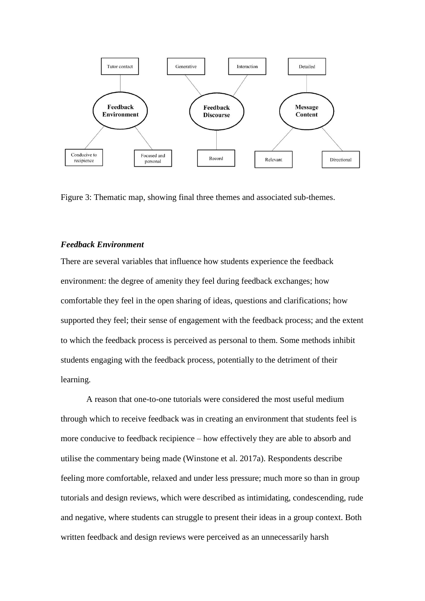

Figure 3: Thematic map, showing final three themes and associated sub-themes.

#### *Feedback Environment*

There are several variables that influence how students experience the feedback environment: the degree of amenity they feel during feedback exchanges; how comfortable they feel in the open sharing of ideas, questions and clarifications; how supported they feel; their sense of engagement with the feedback process; and the extent to which the feedback process is perceived as personal to them. Some methods inhibit students engaging with the feedback process, potentially to the detriment of their learning.

A reason that one-to-one tutorials were considered the most useful medium through which to receive feedback was in creating an environment that students feel is more conducive to feedback recipience – how effectively they are able to absorb and utilise the commentary being made (Winstone et al. 2017a). Respondents describe feeling more comfortable, relaxed and under less pressure; much more so than in group tutorials and design reviews, which were described as intimidating, condescending, rude and negative, where students can struggle to present their ideas in a group context. Both written feedback and design reviews were perceived as an unnecessarily harsh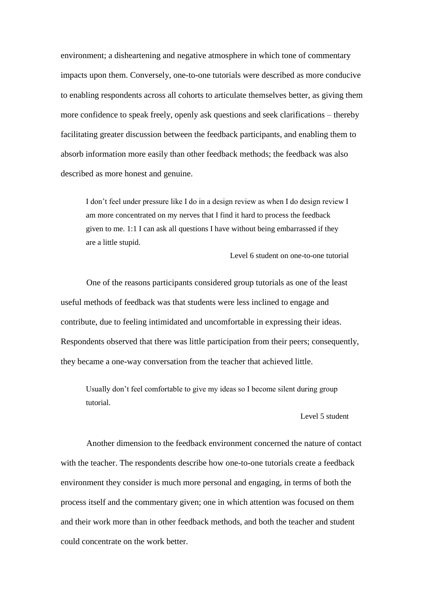environment; a disheartening and negative atmosphere in which tone of commentary impacts upon them. Conversely, one-to-one tutorials were described as more conducive to enabling respondents across all cohorts to articulate themselves better, as giving them more confidence to speak freely, openly ask questions and seek clarifications – thereby facilitating greater discussion between the feedback participants, and enabling them to absorb information more easily than other feedback methods; the feedback was also described as more honest and genuine.

I don't feel under pressure like I do in a design review as when I do design review I am more concentrated on my nerves that I find it hard to process the feedback given to me. 1:1 I can ask all questions I have without being embarrassed if they are a little stupid.

Level 6 student on one-to-one tutorial

One of the reasons participants considered group tutorials as one of the least useful methods of feedback was that students were less inclined to engage and contribute, due to feeling intimidated and uncomfortable in expressing their ideas. Respondents observed that there was little participation from their peers; consequently, they became a one-way conversation from the teacher that achieved little.

Usually don't feel comfortable to give my ideas so I become silent during group tutorial.

#### Level 5 student

Another dimension to the feedback environment concerned the nature of contact with the teacher. The respondents describe how one-to-one tutorials create a feedback environment they consider is much more personal and engaging, in terms of both the process itself and the commentary given; one in which attention was focused on them and their work more than in other feedback methods, and both the teacher and student could concentrate on the work better.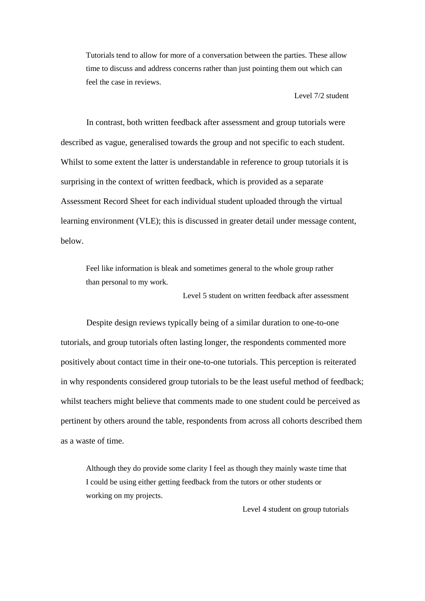Tutorials tend to allow for more of a conversation between the parties. These allow time to discuss and address concerns rather than just pointing them out which can feel the case in reviews.

Level 7/2 student

In contrast, both written feedback after assessment and group tutorials were described as vague, generalised towards the group and not specific to each student. Whilst to some extent the latter is understandable in reference to group tutorials it is surprising in the context of written feedback, which is provided as a separate Assessment Record Sheet for each individual student uploaded through the virtual learning environment (VLE); this is discussed in greater detail under message content, below.

Feel like information is bleak and sometimes general to the whole group rather than personal to my work.

Level 5 student on written feedback after assessment

Despite design reviews typically being of a similar duration to one-to-one tutorials, and group tutorials often lasting longer, the respondents commented more positively about contact time in their one-to-one tutorials. This perception is reiterated in why respondents considered group tutorials to be the least useful method of feedback; whilst teachers might believe that comments made to one student could be perceived as pertinent by others around the table, respondents from across all cohorts described them as a waste of time.

Although they do provide some clarity I feel as though they mainly waste time that I could be using either getting feedback from the tutors or other students or working on my projects.

Level 4 student on group tutorials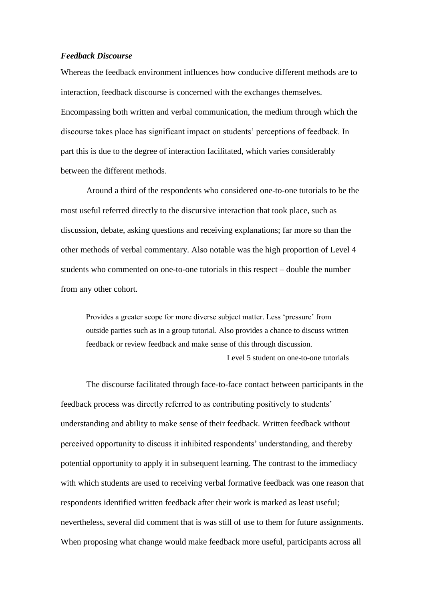## *Feedback Discourse*

Whereas the feedback environment influences how conducive different methods are to interaction, feedback discourse is concerned with the exchanges themselves. Encompassing both written and verbal communication, the medium through which the discourse takes place has significant impact on students' perceptions of feedback. In part this is due to the degree of interaction facilitated, which varies considerably between the different methods.

Around a third of the respondents who considered one-to-one tutorials to be the most useful referred directly to the discursive interaction that took place, such as discussion, debate, asking questions and receiving explanations; far more so than the other methods of verbal commentary. Also notable was the high proportion of Level 4 students who commented on one-to-one tutorials in this respect – double the number from any other cohort.

Provides a greater scope for more diverse subject matter. Less 'pressure' from outside parties such as in a group tutorial. Also provides a chance to discuss written feedback or review feedback and make sense of this through discussion. Level 5 student on one-to-one tutorials

The discourse facilitated through face-to-face contact between participants in the feedback process was directly referred to as contributing positively to students' understanding and ability to make sense of their feedback. Written feedback without perceived opportunity to discuss it inhibited respondents' understanding, and thereby potential opportunity to apply it in subsequent learning. The contrast to the immediacy with which students are used to receiving verbal formative feedback was one reason that respondents identified written feedback after their work is marked as least useful; nevertheless, several did comment that is was still of use to them for future assignments. When proposing what change would make feedback more useful, participants across all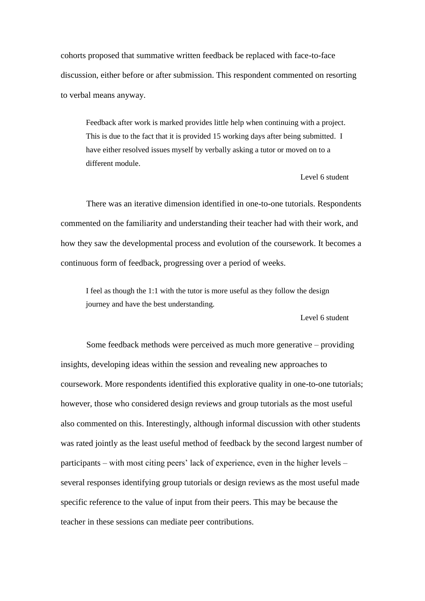cohorts proposed that summative written feedback be replaced with face-to-face discussion, either before or after submission. This respondent commented on resorting to verbal means anyway.

Feedback after work is marked provides little help when continuing with a project. This is due to the fact that it is provided 15 working days after being submitted. I have either resolved issues myself by verbally asking a tutor or moved on to a different module.

## Level 6 student

There was an iterative dimension identified in one-to-one tutorials. Respondents commented on the familiarity and understanding their teacher had with their work, and how they saw the developmental process and evolution of the coursework. It becomes a continuous form of feedback, progressing over a period of weeks.

I feel as though the 1:1 with the tutor is more useful as they follow the design journey and have the best understanding.

#### Level 6 student

Some feedback methods were perceived as much more generative – providing insights, developing ideas within the session and revealing new approaches to coursework. More respondents identified this explorative quality in one-to-one tutorials; however, those who considered design reviews and group tutorials as the most useful also commented on this. Interestingly, although informal discussion with other students was rated jointly as the least useful method of feedback by the second largest number of participants – with most citing peers' lack of experience, even in the higher levels – several responses identifying group tutorials or design reviews as the most useful made specific reference to the value of input from their peers. This may be because the teacher in these sessions can mediate peer contributions.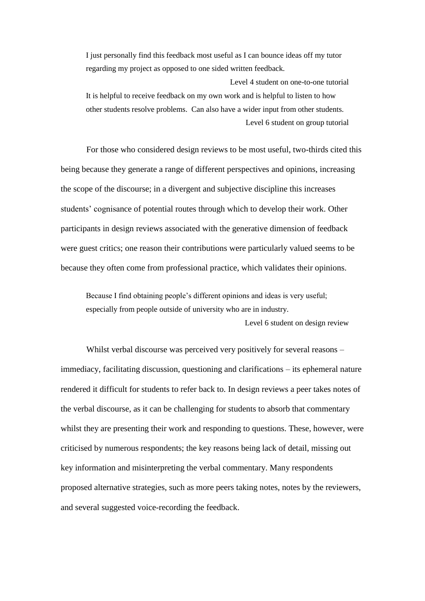I just personally find this feedback most useful as I can bounce ideas off my tutor regarding my project as opposed to one sided written feedback.

Level 4 student on one-to-one tutorial It is helpful to receive feedback on my own work and is helpful to listen to how other students resolve problems. Can also have a wider input from other students. Level 6 student on group tutorial

For those who considered design reviews to be most useful, two-thirds cited this being because they generate a range of different perspectives and opinions, increasing the scope of the discourse; in a divergent and subjective discipline this increases students' cognisance of potential routes through which to develop their work. Other participants in design reviews associated with the generative dimension of feedback were guest critics; one reason their contributions were particularly valued seems to be because they often come from professional practice, which validates their opinions.

Because I find obtaining people's different opinions and ideas is very useful; especially from people outside of university who are in industry.

Level 6 student on design review

Whilst verbal discourse was perceived very positively for several reasons – immediacy, facilitating discussion, questioning and clarifications – its ephemeral nature rendered it difficult for students to refer back to. In design reviews a peer takes notes of the verbal discourse, as it can be challenging for students to absorb that commentary whilst they are presenting their work and responding to questions. These, however, were criticised by numerous respondents; the key reasons being lack of detail, missing out key information and misinterpreting the verbal commentary. Many respondents proposed alternative strategies, such as more peers taking notes, notes by the reviewers, and several suggested voice-recording the feedback.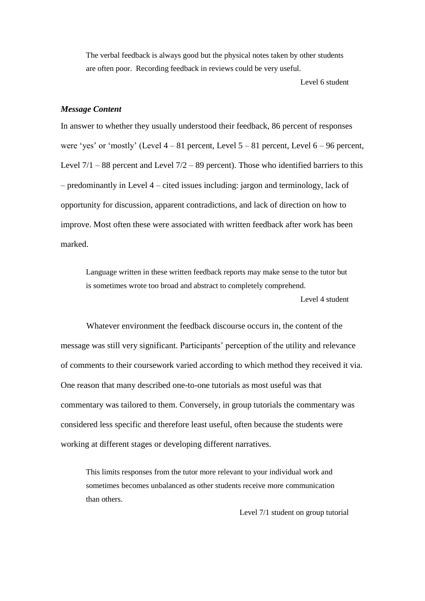The verbal feedback is always good but the physical notes taken by other students are often poor. Recording feedback in reviews could be very useful.

Level 6 student

## *Message Content*

In answer to whether they usually understood their feedback, 86 percent of responses were 'yes' or 'mostly' (Level  $4 - 81$  percent, Level  $5 - 81$  percent, Level  $6 - 96$  percent, Level  $7/1 - 88$  percent and Level  $7/2 - 89$  percent). Those who identified barriers to this – predominantly in Level 4 – cited issues including: jargon and terminology, lack of opportunity for discussion, apparent contradictions, and lack of direction on how to improve. Most often these were associated with written feedback after work has been marked.

Language written in these written feedback reports may make sense to the tutor but is sometimes wrote too broad and abstract to completely comprehend. Level 4 student

Whatever environment the feedback discourse occurs in, the content of the message was still very significant. Participants' perception of the utility and relevance of comments to their coursework varied according to which method they received it via. One reason that many described one-to-one tutorials as most useful was that commentary was tailored to them. Conversely, in group tutorials the commentary was considered less specific and therefore least useful, often because the students were working at different stages or developing different narratives.

This limits responses from the tutor more relevant to your individual work and sometimes becomes unbalanced as other students receive more communication than others.

Level 7/1 student on group tutorial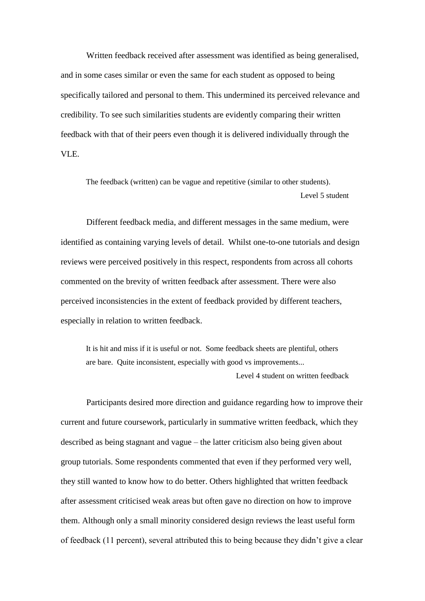Written feedback received after assessment was identified as being generalised, and in some cases similar or even the same for each student as opposed to being specifically tailored and personal to them. This undermined its perceived relevance and credibility. To see such similarities students are evidently comparing their written feedback with that of their peers even though it is delivered individually through the VLE.

The feedback (written) can be vague and repetitive (similar to other students). Level 5 student

Different feedback media, and different messages in the same medium, were identified as containing varying levels of detail. Whilst one-to-one tutorials and design reviews were perceived positively in this respect, respondents from across all cohorts commented on the brevity of written feedback after assessment. There were also perceived inconsistencies in the extent of feedback provided by different teachers, especially in relation to written feedback.

It is hit and miss if it is useful or not. Some feedback sheets are plentiful, others are bare. Quite inconsistent, especially with good vs improvements... Level 4 student on written feedback

Participants desired more direction and guidance regarding how to improve their current and future coursework, particularly in summative written feedback, which they described as being stagnant and vague – the latter criticism also being given about group tutorials. Some respondents commented that even if they performed very well, they still wanted to know how to do better. Others highlighted that written feedback after assessment criticised weak areas but often gave no direction on how to improve them. Although only a small minority considered design reviews the least useful form of feedback (11 percent), several attributed this to being because they didn't give a clear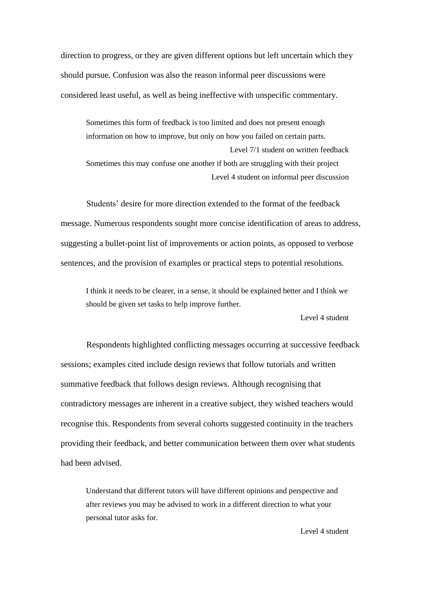direction to progress, or they are given different options but left uncertain which they should pursue. Confusion was also the reason informal peer discussions were considered least useful, as well as being ineffective with unspecific commentary.

Sometimes this form of feedback is too limited and does not present enough information on how to improve, but only on how you failed on certain parts. Level 7/1 student on written feedback Sometimes this may confuse one another if both are struggling with their project Level 4 student on informal peer discussion

Students' desire for more direction extended to the format of the feedback message. Numerous respondents sought more concise identification of areas to address, suggesting a bullet-point list of improvements or action points, as opposed to verbose sentences, and the provision of examples or practical steps to potential resolutions.

I think it needs to be clearer, in a sense, it should be explained better and I think we should be given set tasks to help improve further.

Level 4 student

Respondents highlighted conflicting messages occurring at successive feedback sessions; examples cited include design reviews that follow tutorials and written summative feedback that follows design reviews. Although recognising that contradictory messages are inherent in a creative subject, they wished teachers would recognise this. Respondents from several cohorts suggested continuity in the teachers providing their feedback, and better communication between them over what students had been advised.

Understand that different tutors will have different opinions and perspective and after reviews you may be advised to work in a different direction to what your personal tutor asks for.

Level 4 student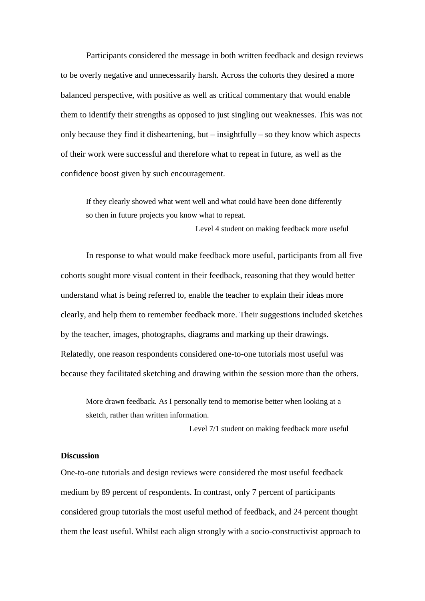Participants considered the message in both written feedback and design reviews to be overly negative and unnecessarily harsh. Across the cohorts they desired a more balanced perspective, with positive as well as critical commentary that would enable them to identify their strengths as opposed to just singling out weaknesses. This was not only because they find it disheartening, but – insightfully – so they know which aspects of their work were successful and therefore what to repeat in future, as well as the confidence boost given by such encouragement.

If they clearly showed what went well and what could have been done differently so then in future projects you know what to repeat.

Level 4 student on making feedback more useful

In response to what would make feedback more useful, participants from all five cohorts sought more visual content in their feedback, reasoning that they would better understand what is being referred to, enable the teacher to explain their ideas more clearly, and help them to remember feedback more. Their suggestions included sketches by the teacher, images, photographs, diagrams and marking up their drawings. Relatedly, one reason respondents considered one-to-one tutorials most useful was because they facilitated sketching and drawing within the session more than the others.

More drawn feedback. As I personally tend to memorise better when looking at a sketch, rather than written information.

Level 7/1 student on making feedback more useful

## **Discussion**

One-to-one tutorials and design reviews were considered the most useful feedback medium by 89 percent of respondents. In contrast, only 7 percent of participants considered group tutorials the most useful method of feedback, and 24 percent thought them the least useful. Whilst each align strongly with a socio-constructivist approach to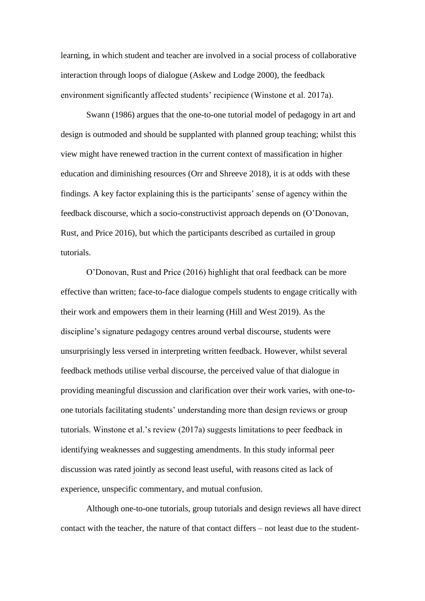learning, in which student and teacher are involved in a social process of collaborative interaction through loops of dialogue (Askew and Lodge 2000), the feedback environment significantly affected students' recipience (Winstone et al. 2017a).

Swann (1986) argues that the one-to-one tutorial model of pedagogy in art and design is outmoded and should be supplanted with planned group teaching; whilst this view might have renewed traction in the current context of massification in higher education and diminishing resources (Orr and Shreeve 2018), it is at odds with these findings. A key factor explaining this is the participants' sense of agency within the feedback discourse, which a socio-constructivist approach depends on (O'Donovan, Rust, and Price 2016), but which the participants described as curtailed in group tutorials.

O'Donovan, Rust and Price (2016) highlight that oral feedback can be more effective than written; face-to-face dialogue compels students to engage critically with their work and empowers them in their learning (Hill and West 2019). As the discipline's signature pedagogy centres around verbal discourse, students were unsurprisingly less versed in interpreting written feedback. However, whilst several feedback methods utilise verbal discourse, the perceived value of that dialogue in providing meaningful discussion and clarification over their work varies, with one-toone tutorials facilitating students' understanding more than design reviews or group tutorials. Winstone et al.'s review (2017a) suggests limitations to peer feedback in identifying weaknesses and suggesting amendments. In this study informal peer discussion was rated jointly as second least useful, with reasons cited as lack of experience, unspecific commentary, and mutual confusion.

Although one-to-one tutorials, group tutorials and design reviews all have direct contact with the teacher, the nature of that contact differs – not least due to the student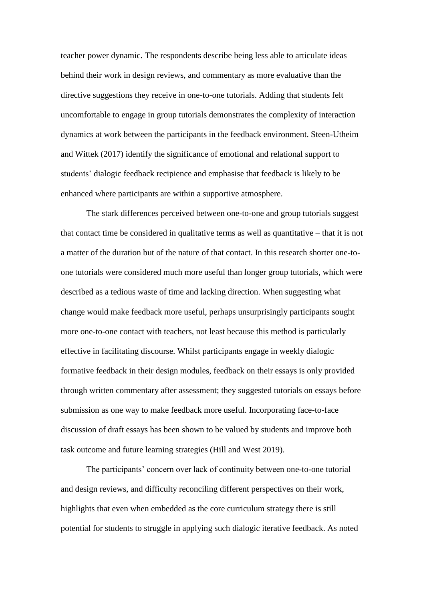teacher power dynamic. The respondents describe being less able to articulate ideas behind their work in design reviews, and commentary as more evaluative than the directive suggestions they receive in one-to-one tutorials. Adding that students felt uncomfortable to engage in group tutorials demonstrates the complexity of interaction dynamics at work between the participants in the feedback environment. Steen-Utheim and Wittek (2017) identify the significance of emotional and relational support to students' dialogic feedback recipience and emphasise that feedback is likely to be enhanced where participants are within a supportive atmosphere.

The stark differences perceived between one-to-one and group tutorials suggest that contact time be considered in qualitative terms as well as quantitative – that it is not a matter of the duration but of the nature of that contact. In this research shorter one-toone tutorials were considered much more useful than longer group tutorials, which were described as a tedious waste of time and lacking direction. When suggesting what change would make feedback more useful, perhaps unsurprisingly participants sought more one-to-one contact with teachers, not least because this method is particularly effective in facilitating discourse. Whilst participants engage in weekly dialogic formative feedback in their design modules, feedback on their essays is only provided through written commentary after assessment; they suggested tutorials on essays before submission as one way to make feedback more useful. Incorporating face-to-face discussion of draft essays has been shown to be valued by students and improve both task outcome and future learning strategies (Hill and West 2019).

The participants' concern over lack of continuity between one-to-one tutorial and design reviews, and difficulty reconciling different perspectives on their work, highlights that even when embedded as the core curriculum strategy there is still potential for students to struggle in applying such dialogic iterative feedback. As noted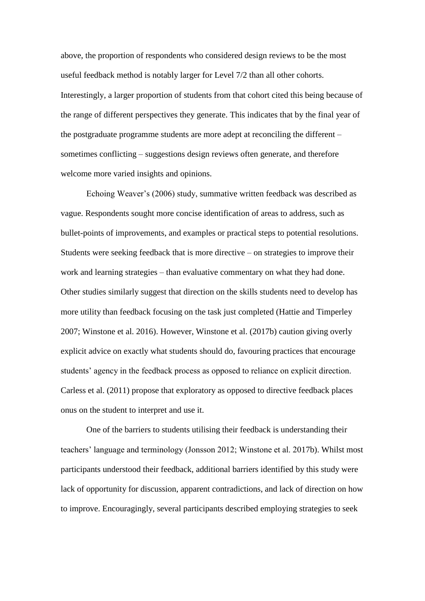above, the proportion of respondents who considered design reviews to be the most useful feedback method is notably larger for Level 7/2 than all other cohorts. Interestingly, a larger proportion of students from that cohort cited this being because of the range of different perspectives they generate. This indicates that by the final year of the postgraduate programme students are more adept at reconciling the different – sometimes conflicting – suggestions design reviews often generate, and therefore welcome more varied insights and opinions.

Echoing Weaver's (2006) study, summative written feedback was described as vague. Respondents sought more concise identification of areas to address, such as bullet-points of improvements, and examples or practical steps to potential resolutions. Students were seeking feedback that is more directive – on strategies to improve their work and learning strategies – than evaluative commentary on what they had done. Other studies similarly suggest that direction on the skills students need to develop has more utility than feedback focusing on the task just completed (Hattie and Timperley 2007; Winstone et al. 2016). However, Winstone et al. (2017b) caution giving overly explicit advice on exactly what students should do, favouring practices that encourage students' agency in the feedback process as opposed to reliance on explicit direction. Carless et al. (2011) propose that exploratory as opposed to directive feedback places onus on the student to interpret and use it.

One of the barriers to students utilising their feedback is understanding their teachers' language and terminology (Jonsson 2012; Winstone et al. 2017b). Whilst most participants understood their feedback, additional barriers identified by this study were lack of opportunity for discussion, apparent contradictions, and lack of direction on how to improve. Encouragingly, several participants described employing strategies to seek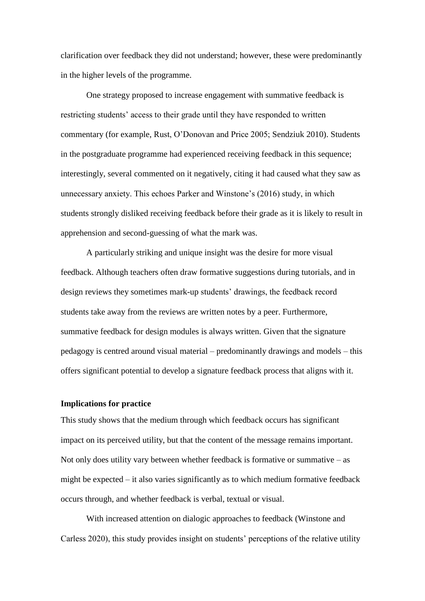clarification over feedback they did not understand; however, these were predominantly in the higher levels of the programme.

One strategy proposed to increase engagement with summative feedback is restricting students' access to their grade until they have responded to written commentary (for example, Rust, O'Donovan and Price 2005; Sendziuk 2010). Students in the postgraduate programme had experienced receiving feedback in this sequence; interestingly, several commented on it negatively, citing it had caused what they saw as unnecessary anxiety. This echoes Parker and Winstone's (2016) study, in which students strongly disliked receiving feedback before their grade as it is likely to result in apprehension and second-guessing of what the mark was.

A particularly striking and unique insight was the desire for more visual feedback. Although teachers often draw formative suggestions during tutorials, and in design reviews they sometimes mark-up students' drawings, the feedback record students take away from the reviews are written notes by a peer. Furthermore, summative feedback for design modules is always written. Given that the signature pedagogy is centred around visual material – predominantly drawings and models – this offers significant potential to develop a signature feedback process that aligns with it.

## **Implications for practice**

This study shows that the medium through which feedback occurs has significant impact on its perceived utility, but that the content of the message remains important. Not only does utility vary between whether feedback is formative or summative  $-$  as might be expected – it also varies significantly as to which medium formative feedback occurs through, and whether feedback is verbal, textual or visual.

With increased attention on dialogic approaches to feedback (Winstone and Carless 2020), this study provides insight on students' perceptions of the relative utility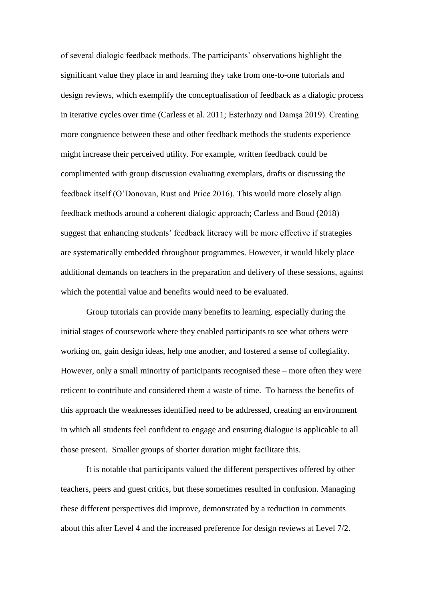of several dialogic feedback methods. The participants' observations highlight the significant value they place in and learning they take from one-to-one tutorials and design reviews, which exemplify the conceptualisation of feedback as a dialogic process in iterative cycles over time (Carless et al. 2011; Esterhazy and Damşa 2019). Creating more congruence between these and other feedback methods the students experience might increase their perceived utility. For example, written feedback could be complimented with group discussion evaluating exemplars, drafts or discussing the feedback itself (O'Donovan, Rust and Price 2016). This would more closely align feedback methods around a coherent dialogic approach; Carless and Boud (2018) suggest that enhancing students' feedback literacy will be more effective if strategies are systematically embedded throughout programmes. However, it would likely place additional demands on teachers in the preparation and delivery of these sessions, against which the potential value and benefits would need to be evaluated.

Group tutorials can provide many benefits to learning, especially during the initial stages of coursework where they enabled participants to see what others were working on, gain design ideas, help one another, and fostered a sense of collegiality. However, only a small minority of participants recognised these – more often they were reticent to contribute and considered them a waste of time. To harness the benefits of this approach the weaknesses identified need to be addressed, creating an environment in which all students feel confident to engage and ensuring dialogue is applicable to all those present. Smaller groups of shorter duration might facilitate this.

It is notable that participants valued the different perspectives offered by other teachers, peers and guest critics, but these sometimes resulted in confusion. Managing these different perspectives did improve, demonstrated by a reduction in comments about this after Level 4 and the increased preference for design reviews at Level 7/2.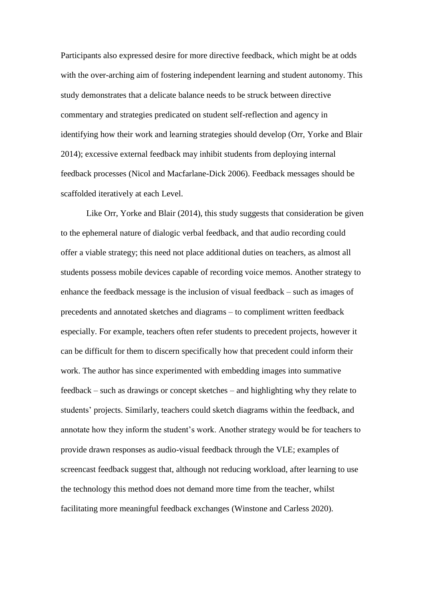Participants also expressed desire for more directive feedback, which might be at odds with the over-arching aim of fostering independent learning and student autonomy. This study demonstrates that a delicate balance needs to be struck between directive commentary and strategies predicated on student self-reflection and agency in identifying how their work and learning strategies should develop (Orr, Yorke and Blair 2014); excessive external feedback may inhibit students from deploying internal feedback processes (Nicol and Macfarlane-Dick 2006). Feedback messages should be scaffolded iteratively at each Level.

Like Orr, Yorke and Blair (2014), this study suggests that consideration be given to the ephemeral nature of dialogic verbal feedback, and that audio recording could offer a viable strategy; this need not place additional duties on teachers, as almost all students possess mobile devices capable of recording voice memos. Another strategy to enhance the feedback message is the inclusion of visual feedback – such as images of precedents and annotated sketches and diagrams – to compliment written feedback especially. For example, teachers often refer students to precedent projects, however it can be difficult for them to discern specifically how that precedent could inform their work. The author has since experimented with embedding images into summative feedback – such as drawings or concept sketches – and highlighting why they relate to students' projects. Similarly, teachers could sketch diagrams within the feedback, and annotate how they inform the student's work. Another strategy would be for teachers to provide drawn responses as audio-visual feedback through the VLE; examples of screencast feedback suggest that, although not reducing workload, after learning to use the technology this method does not demand more time from the teacher, whilst facilitating more meaningful feedback exchanges (Winstone and Carless 2020).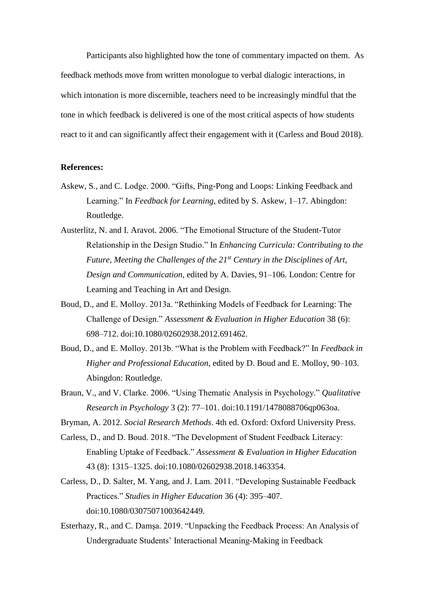Participants also highlighted how the tone of commentary impacted on them. As feedback methods move from written monologue to verbal dialogic interactions, in which intonation is more discernible, teachers need to be increasingly mindful that the tone in which feedback is delivered is one of the most critical aspects of how students react to it and can significantly affect their engagement with it (Carless and Boud 2018).

## **References:**

- Askew, S., and C. Lodge. 2000. "Gifts, Ping-Pong and Loops: Linking Feedback and Learning." In *Feedback for Learning*, edited by S. Askew, 1–17. Abingdon: Routledge.
- Austerlitz, N. and I. Aravot. 2006. "The Emotional Structure of the Student-Tutor Relationship in the Design Studio." In *Enhancing Curricula: Contributing to the Future, Meeting the Challenges of the 21st Century in the Disciplines of Art, Design and Communication*, edited by A. Davies, 91–106. London: Centre for Learning and Teaching in Art and Design.
- Boud, D., and E. Molloy. 2013a. "Rethinking Models of Feedback for Learning: The Challenge of Design." *Assessment & Evaluation in Higher Education* 38 (6): 698–712. doi:10.1080/02602938.2012.691462.
- Boud, D., and E. Molloy. 2013b. "What is the Problem with Feedback?" In *Feedback in Higher and Professional Education*, edited by D. Boud and E. Molloy, 90–103. Abingdon: Routledge.
- Braun, V., and V. Clarke. 2006. "Using Thematic Analysis in Psychology." *Qualitative Research in Psychology* 3 (2): 77–101. doi:10.1191/1478088706qp063oa.

Bryman, A. 2012. *Social Research Methods*. 4th ed. Oxford: Oxford University Press.

- Carless, D., and D. Boud. 2018. "The Development of Student Feedback Literacy: Enabling Uptake of Feedback." *Assessment & Evaluation in Higher Education* 43 (8): 1315–1325. doi:10.1080/02602938.2018.1463354.
- Carless, D., D. Salter, M. Yang, and J. Lam. 2011. "Developing Sustainable Feedback Practices." *Studies in Higher Education* 36 (4): 395–407. doi:10.1080/03075071003642449.
- Esterhazy, R., and C. Damşa. 2019. "Unpacking the Feedback Process: An Analysis of Undergraduate Students' Interactional Meaning-Making in Feedback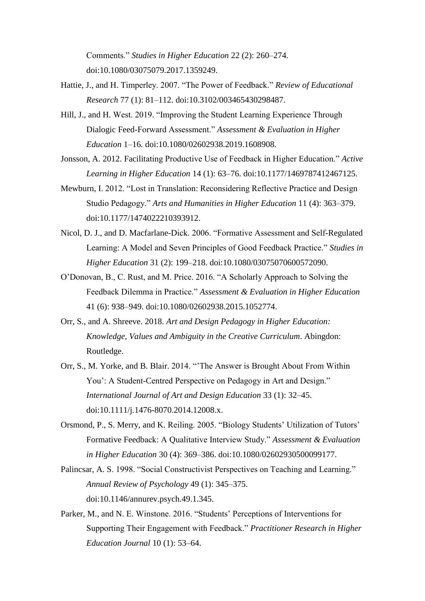Comments." *Studies in Higher Education* 22 (2): 260–274. doi:10.1080/03075079.2017.1359249.

- Hattie, J., and H. Timperley. 2007. "The Power of Feedback." *Review of Educational Research* 77 (1): 81–112. doi:10.3102/003465430298487.
- Hill, J., and H. West. 2019. "Improving the Student Learning Experience Through Dialogic Feed-Forward Assessment." *Assessment & Evaluation in Higher Education* 1–16. doi:10.1080/02602938.2019.1608908.
- Jonsson, A. 2012. Facilitating Productive Use of Feedback in Higher Education." *Active Learning in Higher Education* 14 (1): 63–76. doi:10.1177/1469787412467125.
- Mewburn, I. 2012. "Lost in Translation: Reconsidering Reflective Practice and Design Studio Pedagogy." *Arts and Humanities in Higher Education* 11 (4): 363–379. doi:10.1177/1474022210393912.
- Nicol, D. J., and D. Macfarlane-Dick. 2006. "Formative Assessment and Self-Regulated Learning: A Model and Seven Principles of Good Feedback Practice." *Studies in Higher Education* 31 (2): 199–218. doi:10.1080/03075070600572090.
- O'Donovan, B., C. Rust, and M. Price. 2016. "A Scholarly Approach to Solving the Feedback Dilemma in Practice." *Assessment & Evaluation in Higher Education* 41 (6): 938–949. doi:10.1080/02602938.2015.1052774.
- Orr, S., and A. Shreeve. 2018. *Art and Design Pedagogy in Higher Education: Knowledge, Values and Ambiguity in the Creative Curriculum*. Abingdon: Routledge.
- Orr, S., M. Yorke, and B. Blair. 2014. "'The Answer is Brought About From Within You': A Student-Centred Perspective on Pedagogy in Art and Design." *International Journal of Art and Design Education* 33 (1): 32–45. doi:10.1111/j.1476-8070.2014.12008.x.
- Orsmond, P., S. Merry, and K. Reiling. 2005. "Biology Students' Utilization of Tutors' Formative Feedback: A Qualitative Interview Study." *Assessment & Evaluation in Higher Education* 30 (4): 369–386. doi:10.1080/02602930500099177.
- Palincsar, A. S. 1998. "Social Constructivist Perspectives on Teaching and Learning." *Annual Review of Psychology* 49 (1): 345–375. doi:10.1146/annurev.psych.49.1.345.
- Parker, M., and N. E. Winstone. 2016. "Students' Perceptions of Interventions for Supporting Their Engagement with Feedback." *Practitioner Research in Higher Education Journal* 10 (1): 53–64.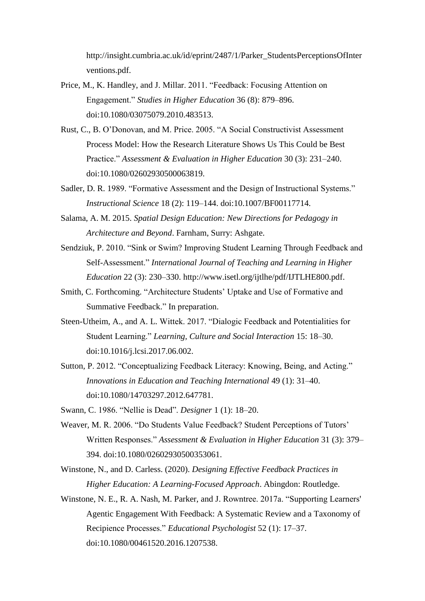http://insight.cumbria.ac.uk/id/eprint/2487/1/Parker\_StudentsPerceptionsOfInter ventions.pdf.

- Price, M., K. Handley, and J. Millar. 2011. "Feedback: Focusing Attention on Engagement." *Studies in Higher Education* 36 (8): 879–896. doi:10.1080/03075079.2010.483513.
- Rust, C., B. O'Donovan, and M. Price. 2005. "A Social Constructivist Assessment Process Model: How the Research Literature Shows Us This Could be Best Practice." *Assessment & Evaluation in Higher Education* 30 (3): 231–240. doi:10.1080/02602930500063819.
- Sadler, D. R. 1989. "Formative Assessment and the Design of Instructional Systems." *Instructional Science* 18 (2): 119–144. doi:10.1007/BF00117714.
- Salama, A. M. 2015. *Spatial Design Education: New Directions for Pedagogy in Architecture and Beyond*. Farnham, Surry: Ashgate.
- Sendziuk, P. 2010. "Sink or Swim? Improving Student Learning Through Feedback and Self-Assessment." *International Journal of Teaching and Learning in Higher Education* 22 (3): 230–330. http://www.isetl.org/ijtlhe/pdf/IJTLHE800.pdf.
- Smith, C. Forthcoming. "Architecture Students' Uptake and Use of Formative and Summative Feedback." In preparation.
- Steen-Utheim, A., and A. L. Wittek. 2017. "Dialogic Feedback and Potentialities for Student Learning." *Learning, Culture and Social Interaction* 15: 18–30. doi:10.1016/j.lcsi.2017.06.002.
- Sutton, P. 2012. "Conceptualizing Feedback Literacy: Knowing, Being, and Acting." *Innovations in Education and Teaching International* 49 (1): 31–40. doi:10.1080/14703297.2012.647781.

Swann, C. 1986. "Nellie is Dead". *Designer* 1 (1): 18–20.

- Weaver, M. R. 2006. "Do Students Value Feedback? Student Perceptions of Tutors' Written Responses." *Assessment & Evaluation in Higher Education* 31 (3): 379– 394. doi:10.1080/02602930500353061.
- Winstone, N., and D. Carless. (2020). *Designing Effective Feedback Practices in Higher Education: A Learning-Focused Approach*. Abingdon: Routledge.
- Winstone, N. E., R. A. Nash, M. Parker, and J. Rowntree. 2017a. "Supporting Learners' Agentic Engagement With Feedback: A Systematic Review and a Taxonomy of Recipience Processes." *Educational Psychologist* 52 (1): 17–37. doi:10.1080/00461520.2016.1207538.